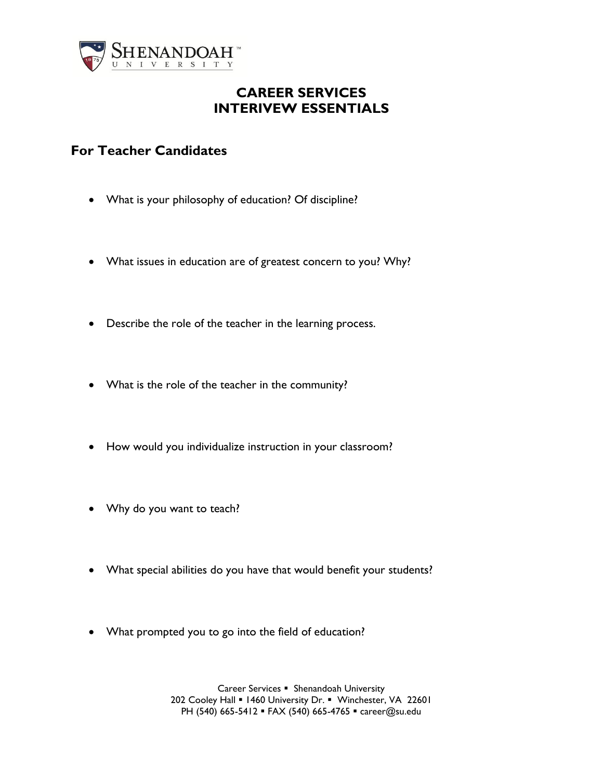

## **CAREER SERVICES INTERIVEW ESSENTIALS**

## **For Teacher Candidates**

- What is your philosophy of education? Of discipline?
- What issues in education are of greatest concern to you? Why?
- Describe the role of the teacher in the learning process.
- What is the role of the teacher in the community?
- How would you individualize instruction in your classroom?
- Why do you want to teach?
- What special abilities do you have that would benefit your students?
- What prompted you to go into the field of education?

Career Services • Shenandoah University 202 Cooley Hall . 1460 University Dr. . Winchester, VA 22601 PH (540) 665-5412 · FAX (540) 665-4765 · career@su.edu